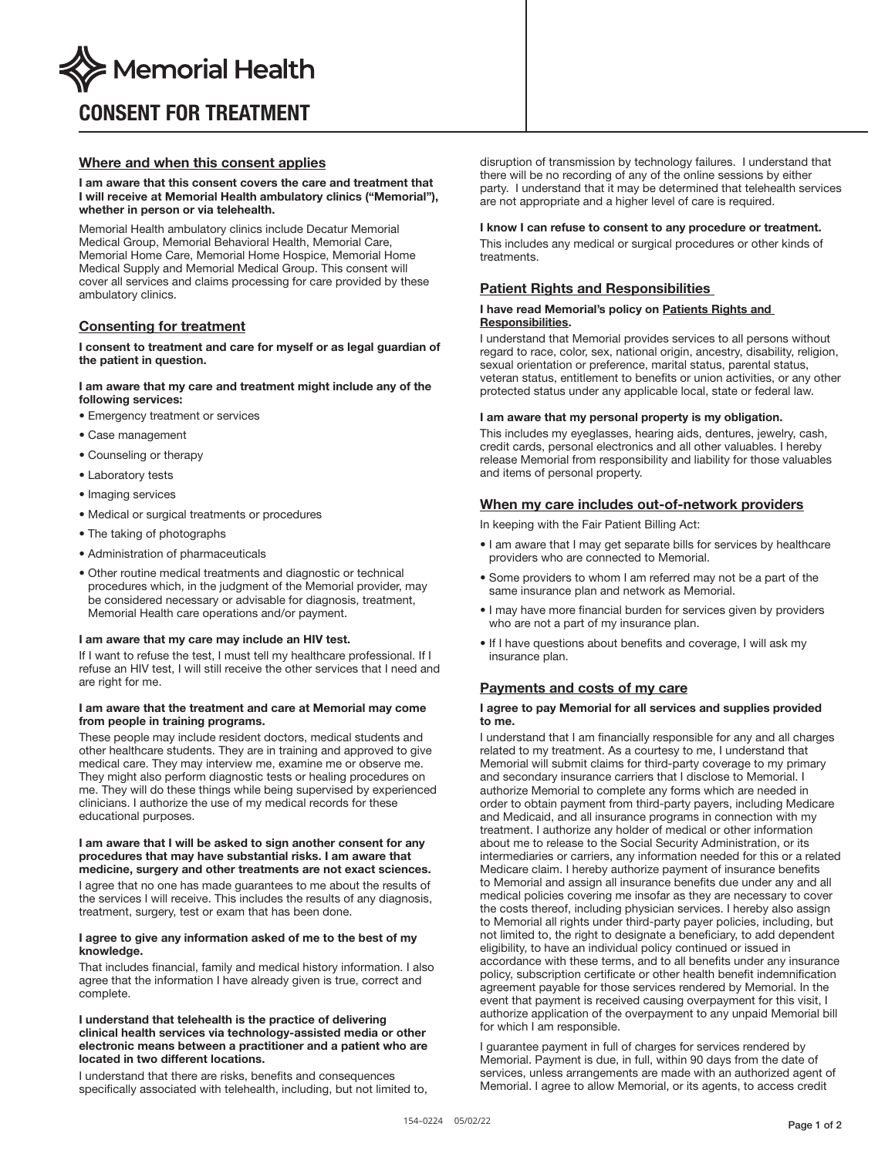

# CONSENT FOR TREATMENT

# Where and when this consent applies

## I am aware that this consent covers the care and treatment that I will receive at Memorial Health ambulatory clinics ("Memorial"), whether in person or via telehealth.

Memorial Health ambulatory clinics include Decatur Memorial Medical Group, Memorial Behavioral Health, Memorial Care, Memorial Home Care, Memorial Home Hospice, Memorial Home Medical Supply and Memorial Medical Group. This consent will cover all services and claims processing for care provided by these ambulatory clinics.

# Consenting for treatment

## I consent to treatment and care for myself or as legal guardian of the patient in question.

## I am aware that my care and treatment might include any of the following services:

- Emergency treatment or services
- Case management
- Counseling or therapy
- Laboratory tests
- Imaging services
- Medical or surgical treatments or procedures
- The taking of photographs
- Administration of pharmaceuticals
- Other routine medical treatments and diagnostic or technical procedures which, in the judgment of the Memorial provider, may be considered necessary or advisable for diagnosis, treatment, Memorial Health care operations and/or payment.

## I am aware that my care may include an HIV test.

If I want to refuse the test, I must tell my healthcare professional. If I refuse an HIV test, I will still receive the other services that I need and are right for me.

## I am aware that the treatment and care at Memorial may come from people in training programs.

These people may include resident doctors, medical students and other healthcare students. They are in training and approved to give medical care. They may interview me, examine me or observe me. They might also perform diagnostic tests or healing procedures on me. They will do these things while being supervised by experienced clinicians. I authorize the use of my medical records for these educational purposes.

## I am aware that I will be asked to sign another consent for any procedures that may have substantial risks. I am aware that medicine, surgery and other treatments are not exact sciences.

I agree that no one has made guarantees to me about the results of the services I will receive. This includes the results of any diagnosis, treatment, surgery, test or exam that has been done.

## I agree to give any information asked of me to the best of my knowledge.

That includes financial, family and medical history information. I also agree that the information I have already given is true, correct and complete.

## I understand that telehealth is the practice of delivering clinical health services via technology-assisted media or other electronic means between a practitioner and a patient who are located in two different locations.

I understand that there are risks, benefits and consequences specifically associated with telehealth, including, but not limited to, disruption of transmission by technology failures. I understand that there will be no recording of any of the online sessions by either party. I understand that it may be determined that telehealth services are not appropriate and a higher level of care is required.

# I know I can refuse to consent to any procedure or treatment.

This includes any medical or surgical procedures or other kinds of treatments.

# Patient Rights and Responsibilities

## I have read Memorial's policy on Patients Rights and Responsibilities.

I understand that Memorial provides services to all persons without regard to race, color, sex, national origin, ancestry, disability, religion, sexual orientation or preference, marital status, parental status, veteran status, entitlement to benefits or union activities, or any other protected status under any applicable local, state or federal law.

## I am aware that my personal property is my obligation.

This includes my eyeglasses, hearing aids, dentures, jewelry, cash, credit cards, personal electronics and all other valuables. I hereby release Memorial from responsibility and liability for those valuables and items of personal property.

## When my care includes out-of-network providers

In keeping with the Fair Patient Billing Act:

- I am aware that I may get separate bills for services by healthcare providers who are connected to Memorial.
- Some providers to whom I am referred may not be a part of the same insurance plan and network as Memorial.
- I may have more financial burden for services given by providers who are not a part of my insurance plan.
- If I have questions about benefits and coverage, I will ask my insurance plan.

## Payments and costs of my care

## I agree to pay Memorial for all services and supplies provided to me.

I understand that I am financially responsible for any and all charges related to my treatment. As a courtesy to me, I understand that Memorial will submit claims for third-party coverage to my primary and secondary insurance carriers that I disclose to Memorial. I authorize Memorial to complete any forms which are needed in order to obtain payment from third-party payers, including Medicare and Medicaid, and all insurance programs in connection with my treatment. I authorize any holder of medical or other information about me to release to the Social Security Administration, or its intermediaries or carriers, any information needed for this or a related Medicare claim. I hereby authorize payment of insurance benefits to Memorial and assign all insurance benefits due under any and all medical policies covering me insofar as they are necessary to cover the costs thereof, including physician services. I hereby also assign to Memorial all rights under third-party payer policies, including, but not limited to, the right to designate a beneficiary, to add dependent eligibility, to have an individual policy continued or issued in accordance with these terms, and to all benefits under any insurance policy, subscription certificate or other health benefit indemnification agreement payable for those services rendered by Memorial. In the event that payment is received causing overpayment for this visit, I authorize application of the overpayment to any unpaid Memorial bill for which I am responsible.

I guarantee payment in full of charges for services rendered by Memorial. Payment is due, in full, within 90 days from the date of services, unless arrangements are made with an authorized agent of Memorial. I agree to allow Memorial, or its agents, to access credit